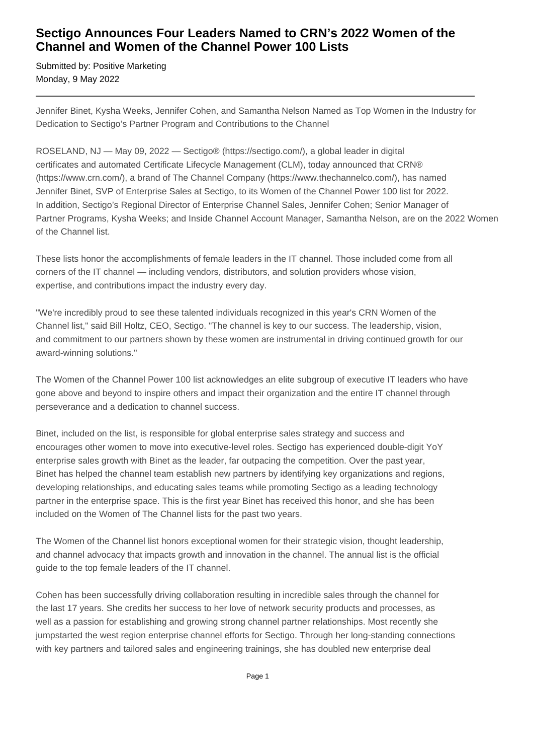## **Sectigo Announces Four Leaders Named to CRN's 2022 Women of the Channel and Women of the Channel Power 100 Lists**

Submitted by: Positive Marketing Monday, 9 May 2022

Jennifer Binet, Kysha Weeks, Jennifer Cohen, and Samantha Nelson Named as Top Women in the Industry for Dedication to Sectigo's Partner Program and Contributions to the Channel

ROSELAND, NJ — May 09, 2022 — Sectigo® (https://sectigo.com/), a global leader in digital certificates and automated Certificate Lifecycle Management (CLM), today announced that CRN® (https://www.crn.com/), a brand of The Channel Company (https://www.thechannelco.com/), has named Jennifer Binet, SVP of Enterprise Sales at Sectigo, to its Women of the Channel Power 100 list for 2022. In addition, Sectigo's Regional Director of Enterprise Channel Sales, Jennifer Cohen; Senior Manager of Partner Programs, Kysha Weeks; and Inside Channel Account Manager, Samantha Nelson, are on the 2022 Women of the Channel list.

These lists honor the accomplishments of female leaders in the IT channel. Those included come from all corners of the IT channel — including vendors, distributors, and solution providers whose vision, expertise, and contributions impact the industry every day.

"We're incredibly proud to see these talented individuals recognized in this year's CRN Women of the Channel list," said Bill Holtz, CEO, Sectigo. "The channel is key to our success. The leadership, vision, and commitment to our partners shown by these women are instrumental in driving continued growth for our award-winning solutions."

The Women of the Channel Power 100 list acknowledges an elite subgroup of executive IT leaders who have gone above and beyond to inspire others and impact their organization and the entire IT channel through perseverance and a dedication to channel success.

Binet, included on the list, is responsible for global enterprise sales strategy and success and encourages other women to move into executive-level roles. Sectigo has experienced double-digit YoY enterprise sales growth with Binet as the leader, far outpacing the competition. Over the past year, Binet has helped the channel team establish new partners by identifying key organizations and regions, developing relationships, and educating sales teams while promoting Sectigo as a leading technology partner in the enterprise space. This is the first year Binet has received this honor, and she has been included on the Women of The Channel lists for the past two years.

The Women of the Channel list honors exceptional women for their strategic vision, thought leadership, and channel advocacy that impacts growth and innovation in the channel. The annual list is the official guide to the top female leaders of the IT channel.

Cohen has been successfully driving collaboration resulting in incredible sales through the channel for the last 17 years. She credits her success to her love of network security products and processes, as well as a passion for establishing and growing strong channel partner relationships. Most recently she jumpstarted the west region enterprise channel efforts for Sectigo. Through her long-standing connections with key partners and tailored sales and engineering trainings, she has doubled new enterprise deal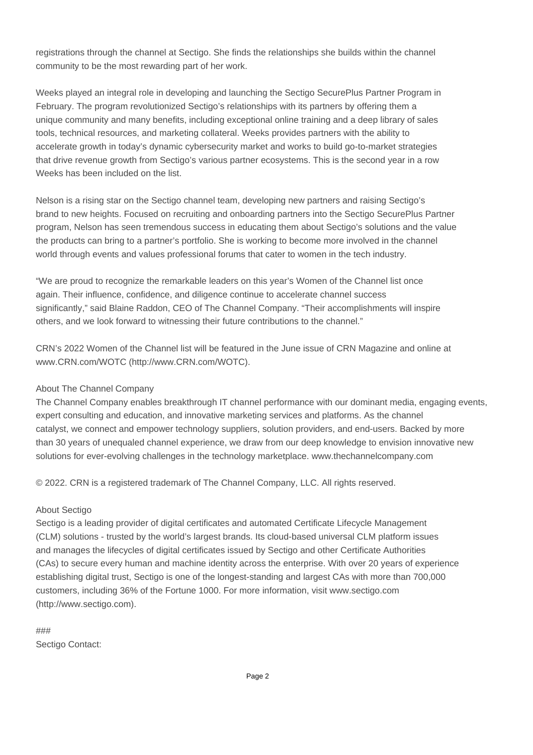registrations through the channel at Sectigo. She finds the relationships she builds within the channel community to be the most rewarding part of her work.

Weeks played an integral role in developing and launching the Sectigo SecurePlus Partner Program in February. The program revolutionized Sectigo's relationships with its partners by offering them a unique community and many benefits, including exceptional online training and a deep library of sales tools, technical resources, and marketing collateral. Weeks provides partners with the ability to accelerate growth in today's dynamic cybersecurity market and works to build go-to-market strategies that drive revenue growth from Sectigo's various partner ecosystems. This is the second year in a row Weeks has been included on the list.

Nelson is a rising star on the Sectigo channel team, developing new partners and raising Sectigo's brand to new heights. Focused on recruiting and onboarding partners into the Sectigo SecurePlus Partner program, Nelson has seen tremendous success in educating them about Sectigo's solutions and the value the products can bring to a partner's portfolio. She is working to become more involved in the channel world through events and values professional forums that cater to women in the tech industry.

"We are proud to recognize the remarkable leaders on this year's Women of the Channel list once again. Their influence, confidence, and diligence continue to accelerate channel success significantly," said Blaine Raddon, CEO of The Channel Company. "Their accomplishments will inspire others, and we look forward to witnessing their future contributions to the channel."

CRN's 2022 Women of the Channel list will be featured in the June issue of CRN Magazine and online at www.CRN.com/WOTC (http://www.CRN.com/WOTC).

## About The Channel Company

The Channel Company enables breakthrough IT channel performance with our dominant media, engaging events, expert consulting and education, and innovative marketing services and platforms. As the channel catalyst, we connect and empower technology suppliers, solution providers, and end-users. Backed by more than 30 years of unequaled channel experience, we draw from our deep knowledge to envision innovative new solutions for ever-evolving challenges in the technology marketplace. www.thechannelcompany.com

© 2022. CRN is a registered trademark of The Channel Company, LLC. All rights reserved.

## About Sectigo

Sectigo is a leading provider of digital certificates and automated Certificate Lifecycle Management (CLM) solutions - trusted by the world's largest brands. Its cloud-based universal CLM platform issues and manages the lifecycles of digital certificates issued by Sectigo and other Certificate Authorities (CAs) to secure every human and machine identity across the enterprise. With over 20 years of experience establishing digital trust, Sectigo is one of the longest-standing and largest CAs with more than 700,000 customers, including 36% of the Fortune 1000. For more information, visit www.sectigo.com (http://www.sectigo.com).

### Sectigo Contact: